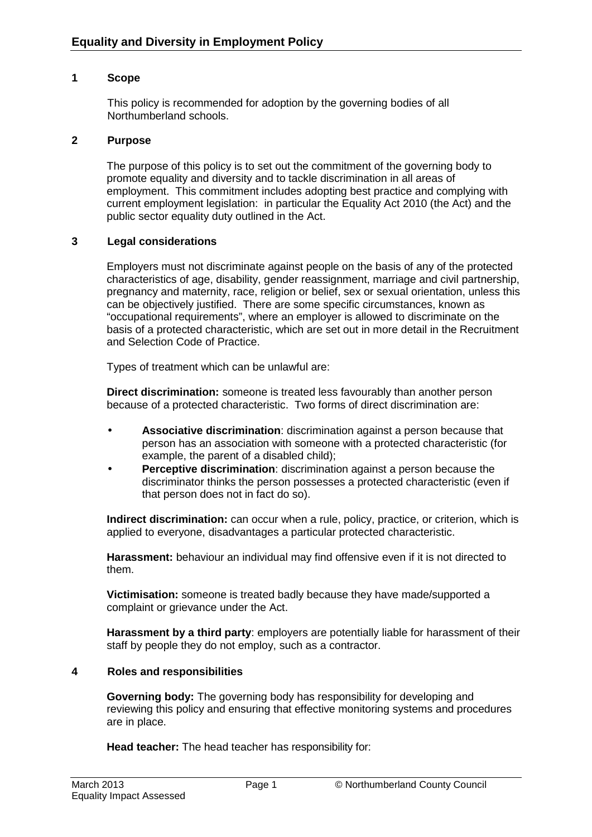## **1 Scope**

This policy is recommended for adoption by the governing bodies of all Northumberland schools.

### **2 Purpose**

The purpose of this policy is to set out the commitment of the governing body to promote equality and diversity and to tackle discrimination in all areas of employment. This commitment includes adopting best practice and complying with current employment legislation: in particular the Equality Act 2010 (the Act) and the public sector equality duty outlined in the Act.

### **3 Legal considerations**

Employers must not discriminate against people on the basis of any of the protected characteristics of age, disability, gender reassignment, marriage and civil partnership, pregnancy and maternity, race, religion or belief, sex or sexual orientation, unless this can be objectively justified. There are some specific circumstances, known as "occupational requirements", where an employer is allowed to discriminate on the basis of a protected characteristic, which are set out in more detail in the Recruitment and Selection Code of Practice.

Types of treatment which can be unlawful are:

**Direct discrimination:** someone is treated less favourably than another person because of a protected characteristic. Two forms of direct discrimination are:

- **Associative discrimination**: discrimination against a person because that person has an association with someone with a protected characteristic (for example, the parent of a disabled child);
- **Perceptive discrimination**: discrimination against a person because the discriminator thinks the person possesses a protected characteristic (even if that person does not in fact do so).

**Indirect discrimination:** can occur when a rule, policy, practice, or criterion, which is applied to everyone, disadvantages a particular protected characteristic.

**Harassment:** behaviour an individual may find offensive even if it is not directed to them.

**Victimisation:** someone is treated badly because they have made/supported a complaint or grievance under the Act.

**Harassment by a third party**: employers are potentially liable for harassment of their staff by people they do not employ, such as a contractor.

### **4 Roles and responsibilities**

**Governing body:** The governing body has responsibility for developing and reviewing this policy and ensuring that effective monitoring systems and procedures are in place.

**Head teacher:** The head teacher has responsibility for: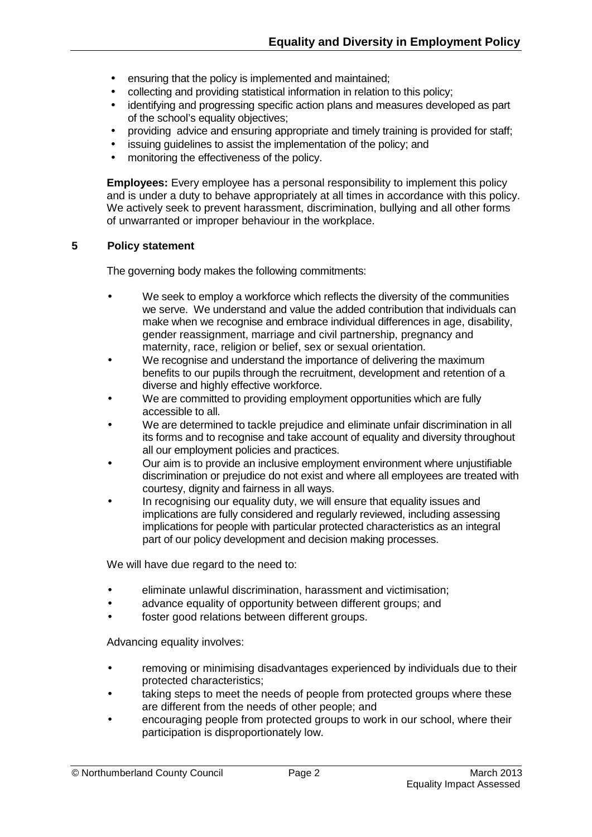- ensuring that the policy is implemented and maintained;
- collecting and providing statistical information in relation to this policy;
- identifying and progressing specific action plans and measures developed as part of the school's equality objectives;
- providing advice and ensuring appropriate and timely training is provided for staff;
- issuing guidelines to assist the implementation of the policy; and
- monitoring the effectiveness of the policy.

**Employees:** Every employee has a personal responsibility to implement this policy and is under a duty to behave appropriately at all times in accordance with this policy. We actively seek to prevent harassment, discrimination, bullying and all other forms of unwarranted or improper behaviour in the workplace.

### **5 Policy statement**

The governing body makes the following commitments:

- We seek to employ a workforce which reflects the diversity of the communities we serve. We understand and value the added contribution that individuals can make when we recognise and embrace individual differences in age, disability, gender reassignment, marriage and civil partnership, pregnancy and maternity, race, religion or belief, sex or sexual orientation.
- We recognise and understand the importance of delivering the maximum benefits to our pupils through the recruitment, development and retention of a diverse and highly effective workforce.
- We are committed to providing employment opportunities which are fully accessible to all.
- We are determined to tackle prejudice and eliminate unfair discrimination in all its forms and to recognise and take account of equality and diversity throughout all our employment policies and practices.
- Our aim is to provide an inclusive employment environment where unjustifiable discrimination or prejudice do not exist and where all employees are treated with courtesy, dignity and fairness in all ways.
- In recognising our equality duty, we will ensure that equality issues and implications are fully considered and regularly reviewed, including assessing implications for people with particular protected characteristics as an integral part of our policy development and decision making processes.

We will have due regard to the need to:

- eliminate unlawful discrimination, harassment and victimisation;
- advance equality of opportunity between different groups; and
- foster good relations between different groups.

Advancing equality involves:

- removing or minimising disadvantages experienced by individuals due to their protected characteristics;
- taking steps to meet the needs of people from protected groups where these are different from the needs of other people; and
- encouraging people from protected groups to work in our school, where their participation is disproportionately low.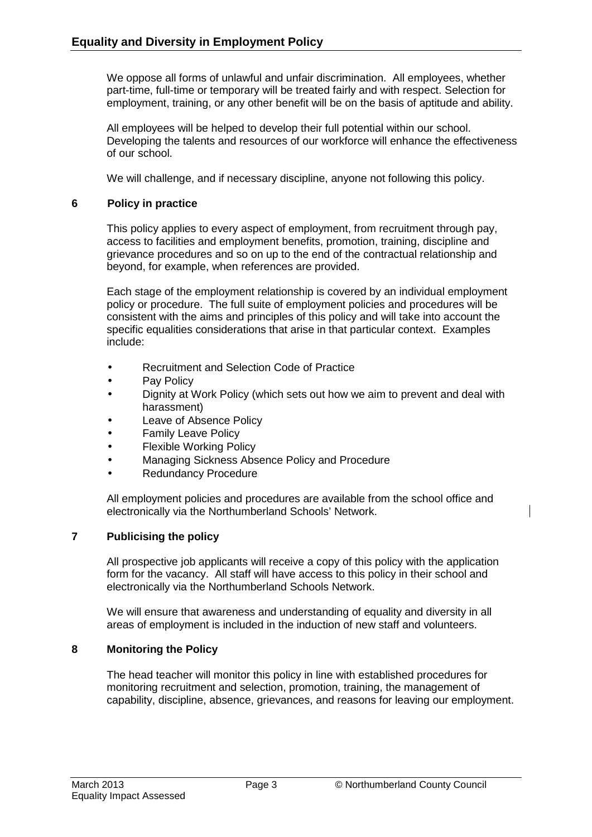We oppose all forms of unlawful and unfair discrimination. All employees, whether part-time, full-time or temporary will be treated fairly and with respect. Selection for employment, training, or any other benefit will be on the basis of aptitude and ability.

All employees will be helped to develop their full potential within our school. Developing the talents and resources of our workforce will enhance the effectiveness of our school.

We will challenge, and if necessary discipline, anyone not following this policy.

## **6 Policy in practice**

This policy applies to every aspect of employment, from recruitment through pay, access to facilities and employment benefits, promotion, training, discipline and grievance procedures and so on up to the end of the contractual relationship and beyond, for example, when references are provided.

Each stage of the employment relationship is covered by an individual employment policy or procedure. The full suite of employment policies and procedures will be consistent with the aims and principles of this policy and will take into account the specific equalities considerations that arise in that particular context. Examples include:

- Recruitment and Selection Code of Practice
- Pay Policy
- Dignity at Work Policy (which sets out how we aim to prevent and deal with harassment)
- Leave of Absence Policy
- Family Leave Policy
- Flexible Working Policy
- Managing Sickness Absence Policy and Procedure
- Redundancy Procedure

All employment policies and procedures are available from the school office and electronically via the Northumberland Schools' Network.

# **7 Publicising the policy**

All prospective job applicants will receive a copy of this policy with the application form for the vacancy. All staff will have access to this policy in their school and electronically via the Northumberland Schools Network.

We will ensure that awareness and understanding of equality and diversity in all areas of employment is included in the induction of new staff and volunteers.

# **8 Monitoring the Policy**

The head teacher will monitor this policy in line with established procedures for monitoring recruitment and selection, promotion, training, the management of capability, discipline, absence, grievances, and reasons for leaving our employment.